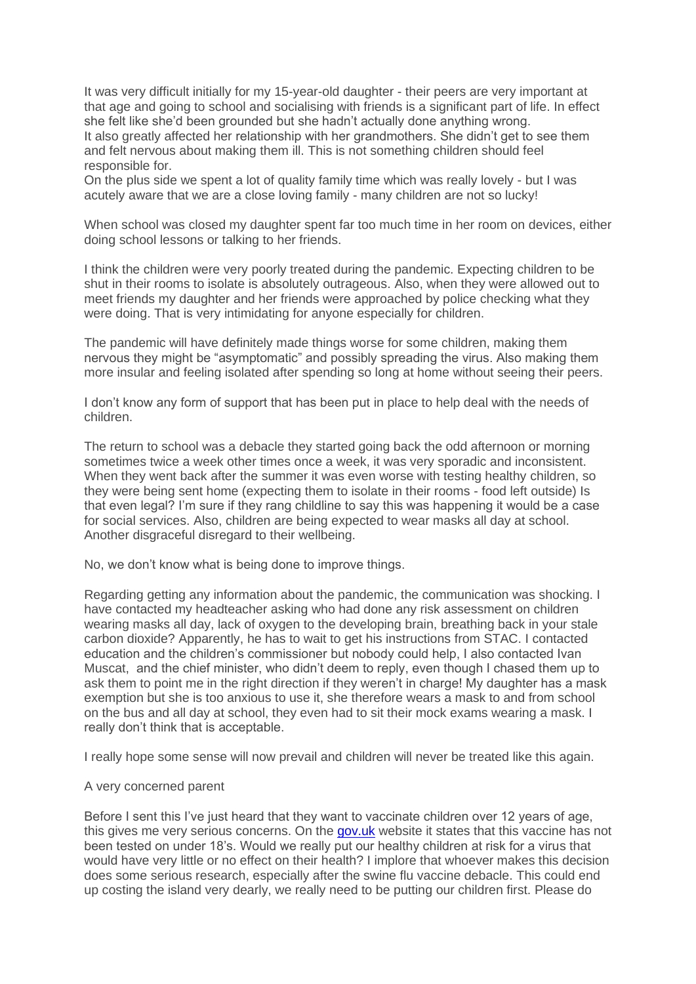It was very difficult initially for my 15-year-old daughter - their peers are very important at that age and going to school and socialising with friends is a significant part of life. In effect she felt like she'd been grounded but she hadn't actually done anything wrong. It also greatly affected her relationship with her grandmothers. She didn't get to see them and felt nervous about making them ill. This is not something children should feel responsible for.

On the plus side we spent a lot of quality family time which was really lovely - but I was acutely aware that we are a close loving family - many children are not so lucky!

When school was closed my daughter spent far too much time in her room on devices, either doing school lessons or talking to her friends.

I think the children were very poorly treated during the pandemic. Expecting children to be shut in their rooms to isolate is absolutely outrageous. Also, when they were allowed out to meet friends my daughter and her friends were approached by police checking what they were doing. That is very intimidating for anyone especially for children.

The pandemic will have definitely made things worse for some children, making them nervous they might be "asymptomatic" and possibly spreading the virus. Also making them more insular and feeling isolated after spending so long at home without seeing their peers.

I don't know any form of support that has been put in place to help deal with the needs of children.

The return to school was a debacle they started going back the odd afternoon or morning sometimes twice a week other times once a week, it was very sporadic and inconsistent. When they went back after the summer it was even worse with testing healthy children, so they were being sent home (expecting them to isolate in their rooms - food left outside) Is that even legal? I'm sure if they rang childline to say this was happening it would be a case for social services. Also, children are being expected to wear masks all day at school. Another disgraceful disregard to their wellbeing.

No, we don't know what is being done to improve things.

Regarding getting any information about the pandemic, the communication was shocking. I have contacted my headteacher asking who had done any risk assessment on children wearing masks all day, lack of oxygen to the developing brain, breathing back in your stale carbon dioxide? Apparently, he has to wait to get his instructions from STAC. I contacted education and the children's commissioner but nobody could help, I also contacted Ivan Muscat, and the chief minister, who didn't deem to reply, even though I chased them up to ask them to point me in the right direction if they weren't in charge! My daughter has a mask exemption but she is too anxious to use it, she therefore wears a mask to and from school on the bus and all day at school, they even had to sit their mock exams wearing a mask. I really don't think that is acceptable.

I really hope some sense will now prevail and children will never be treated like this again.

## A very concerned parent

Before I sent this I've just heard that they want to vaccinate children over 12 years of age, this gives me very serious concerns. On the [gov.uk](https://eur02.safelinks.protection.outlook.com/?url=http%3A%2F%2Fgov.uk%2F&data=04%7C01%7C%7C901e2bf7a73b4080962e08d921b0e178%7C2b5615117ddf495c8164f56ae776c54a%7C0%7C0%7C637577865851007084%7CUnknown%7CTWFpbGZsb3d8eyJWIjoiMC4wLjAwMDAiLCJQIjoiV2luMzIiLCJBTiI6Ik1haWwiLCJXVCI6Mn0%3D%7C1000&sdata=9pQ4kp%2B7KhmZ2d7CfypSrAq8HgXk65rm1BPq8k4U494%3D&reserved=0) website it states that this vaccine has not been tested on under 18's. Would we really put our healthy children at risk for a virus that would have very little or no effect on their health? I implore that whoever makes this decision does some serious research, especially after the swine flu vaccine debacle. This could end up costing the island very dearly, we really need to be putting our children first. Please do